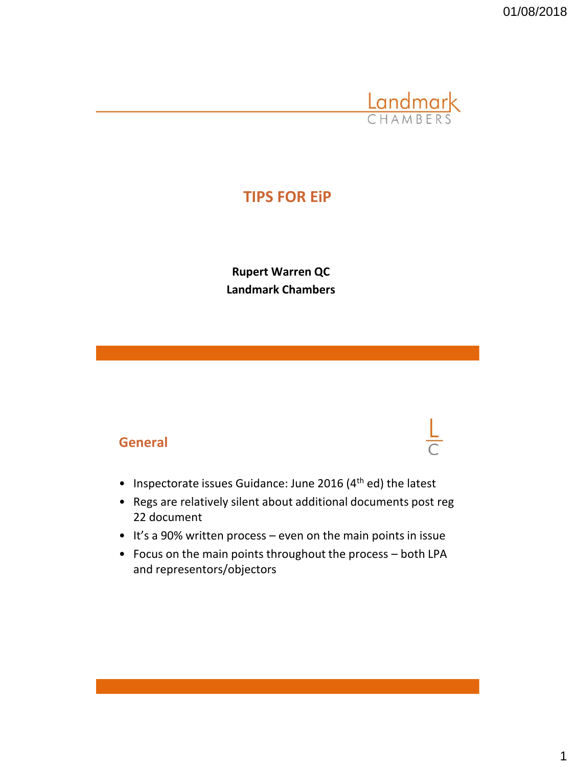01/08/2018



# **TIPS FOR EiP**

**Rupert Warren QC Landmark Chambers**

#### **General**

- Inspectorate issues Guidance: June 2016 (4<sup>th</sup> ed) the latest
- Regs are relatively silent about additional documents post reg 22 document
- It's a 90% written process even on the main points in issue
- Focus on the main points throughout the process both LPA and representors/objectors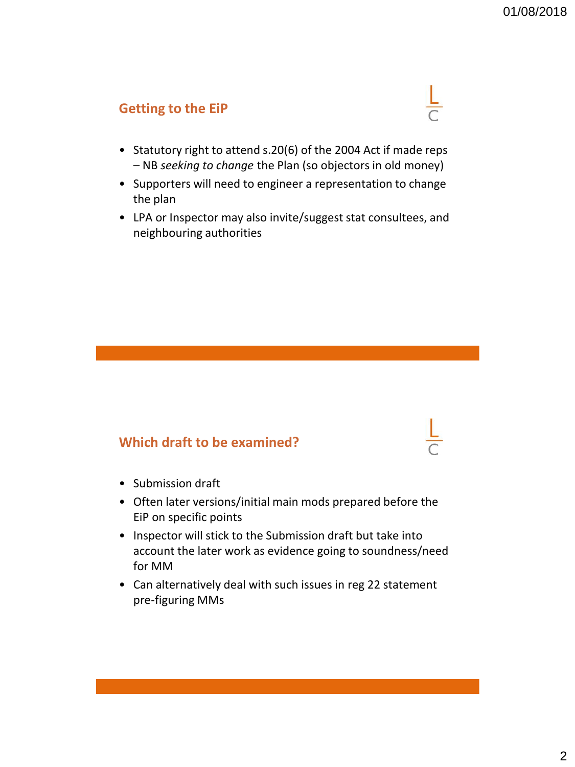### **Getting to the EiP**



- Statutory right to attend s.20(6) of the 2004 Act if made reps – NB *seeking to change* the Plan (so objectors in old money)
- Supporters will need to engineer a representation to change the plan
- LPA or Inspector may also invite/suggest stat consultees, and neighbouring authorities

#### **Which draft to be examined?**

- Submission draft
- Often later versions/initial main mods prepared before the EiP on specific points
- Inspector will stick to the Submission draft but take into account the later work as evidence going to soundness/need for MM
- Can alternatively deal with such issues in reg 22 statement pre-figuring MMs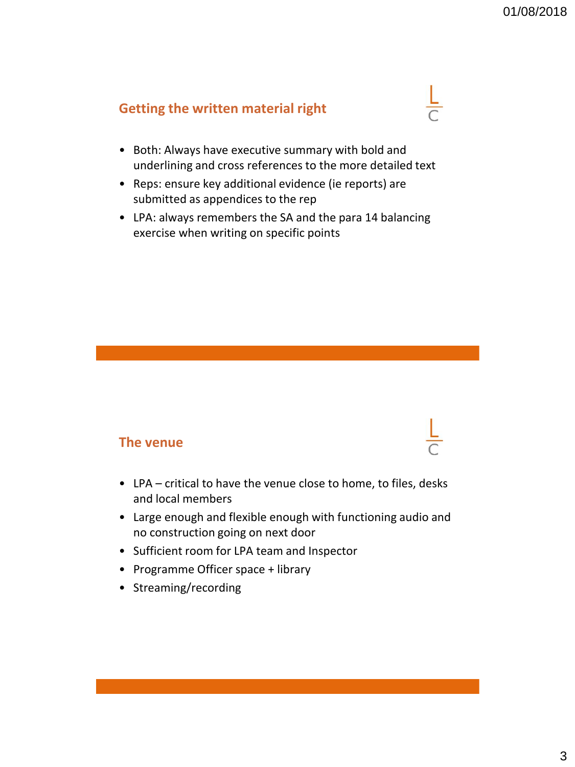# **Getting the written material right**



- Reps: ensure key additional evidence (ie reports) are submitted as appendices to the rep
- LPA: always remembers the SA and the para 14 balancing exercise when writing on specific points

#### **The venue**

- LPA critical to have the venue close to home, to files, desks and local members
- Large enough and flexible enough with functioning audio and no construction going on next door
- Sufficient room for LPA team and Inspector
- Programme Officer space + library
- Streaming/recording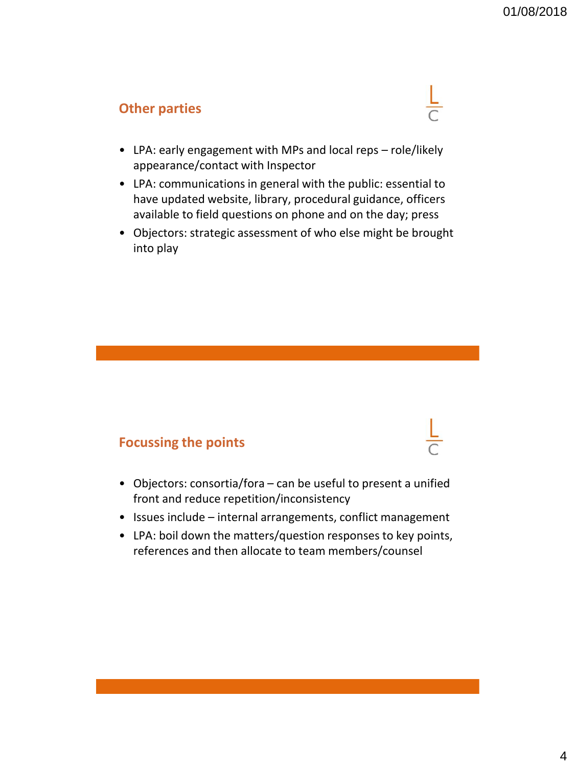#### **Other parties**



- LPA: early engagement with MPs and local reps role/likely appearance/contact with Inspector
- LPA: communications in general with the public: essential to have updated website, library, procedural guidance, officers available to field questions on phone and on the day; press
- Objectors: strategic assessment of who else might be brought into play

#### **Focussing the points**

- Objectors: consortia/fora can be useful to present a unified front and reduce repetition/inconsistency
- Issues include internal arrangements, conflict management
- LPA: boil down the matters/question responses to key points, references and then allocate to team members/counsel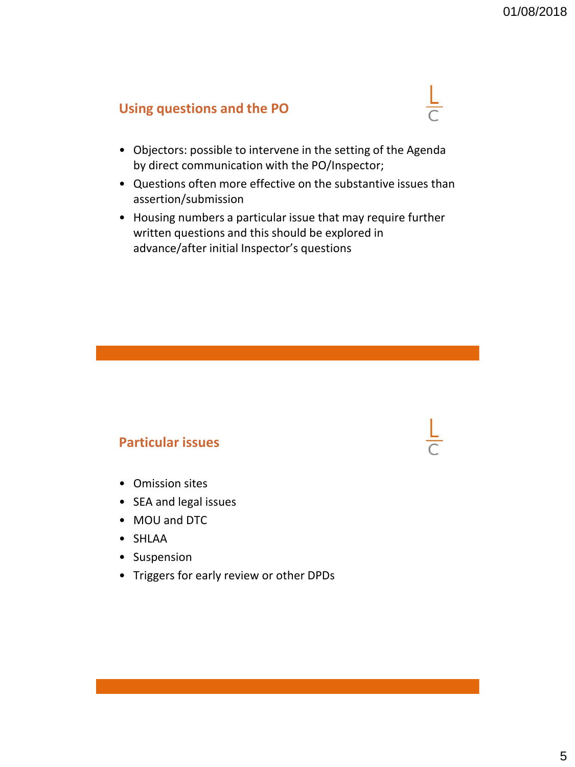## **Using questions and the PO**



- Objectors: possible to intervene in the setting of the Agenda by direct communication with the PO/Inspector;
- Questions often more effective on the substantive issues than assertion/submission
- Housing numbers a particular issue that may require further written questions and this should be explored in advance/after initial Inspector's questions

#### **Particular issues**

- Omission sites
- SEA and legal issues
- MOU and DTC
- SHLAA
- Suspension
- Triggers for early review or other DPDs